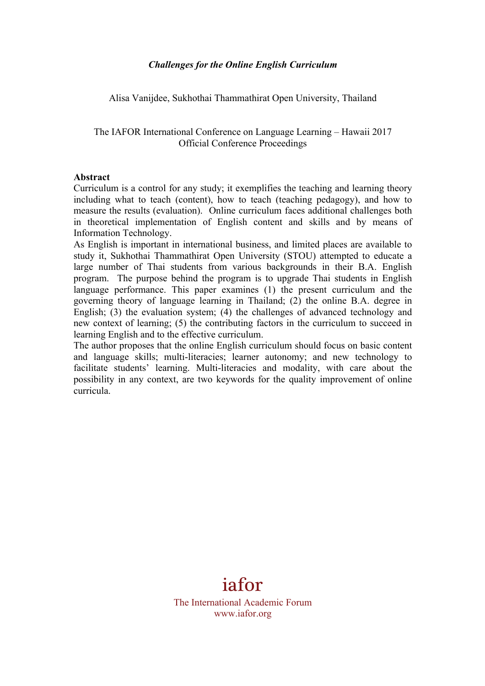Alisa Vanijdee, Sukhothai Thammathirat Open University, Thailand

The IAFOR International Conference on Language Learning – Hawaii 2017 Official Conference Proceedings

#### **Abstract**

Curriculum is a control for any study; it exemplifies the teaching and learning theory including what to teach (content), how to teach (teaching pedagogy), and how to measure the results (evaluation). Online curriculum faces additional challenges both in theoretical implementation of English content and skills and by means of Information Technology.

As English is important in international business, and limited places are available to study it, Sukhothai Thammathirat Open University (STOU) attempted to educate a large number of Thai students from various backgrounds in their B.A. English program. The purpose behind the program is to upgrade Thai students in English language performance. This paper examines (1) the present curriculum and the governing theory of language learning in Thailand; (2) the online B.A. degree in English; (3) the evaluation system; (4) the challenges of advanced technology and new context of learning; (5) the contributing factors in the curriculum to succeed in learning English and to the effective curriculum.

The author proposes that the online English curriculum should focus on basic content and language skills; multi-literacies; learner autonomy; and new technology to facilitate students' learning. Multi-literacies and modality, with care about the possibility in any context, are two keywords for the quality improvement of online curricula.

# iafor

The International Academic Forum www.iafor.org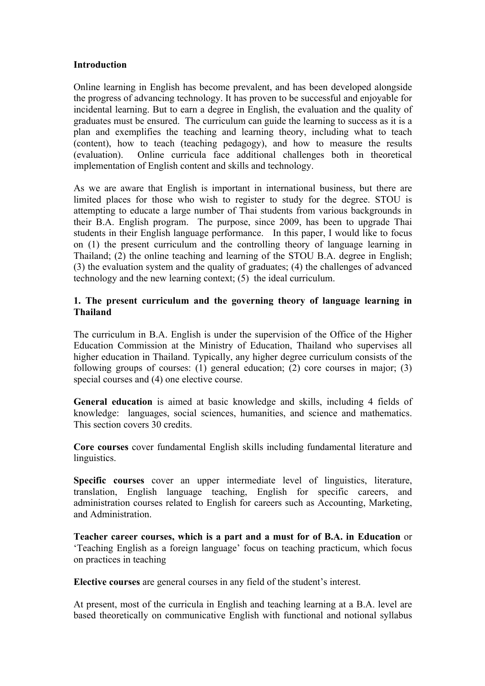#### **Introduction**

Online learning in English has become prevalent, and has been developed alongside the progress of advancing technology. It has proven to be successful and enjoyable for incidental learning. But to earn a degree in English, the evaluation and the quality of graduates must be ensured. The curriculum can guide the learning to success as it is a plan and exemplifies the teaching and learning theory, including what to teach (content), how to teach (teaching pedagogy), and how to measure the results (evaluation). Online curricula face additional challenges both in theoretical implementation of English content and skills and technology.

As we are aware that English is important in international business, but there are limited places for those who wish to register to study for the degree. STOU is attempting to educate a large number of Thai students from various backgrounds in their B.A. English program. The purpose, since 2009, has been to upgrade Thai students in their English language performance. In this paper, I would like to focus on (1) the present curriculum and the controlling theory of language learning in Thailand; (2) the online teaching and learning of the STOU B.A. degree in English; (3) the evaluation system and the quality of graduates; (4) the challenges of advanced technology and the new learning context; (5) the ideal curriculum.

# **1. The present curriculum and the governing theory of language learning in Thailand**

The curriculum in B.A. English is under the supervision of the Office of the Higher Education Commission at the Ministry of Education, Thailand who supervises all higher education in Thailand. Typically, any higher degree curriculum consists of the following groups of courses: (1) general education; (2) core courses in major; (3) special courses and (4) one elective course.

**General education** is aimed at basic knowledge and skills, including 4 fields of knowledge: languages, social sciences, humanities, and science and mathematics. This section covers 30 credits.

**Core courses** cover fundamental English skills including fundamental literature and linguistics.

**Specific courses** cover an upper intermediate level of linguistics, literature, translation, English language teaching, English for specific careers, and administration courses related to English for careers such as Accounting, Marketing, and Administration.

**Teacher career courses, which is a part and a must for of B.A. in Education** or 'Teaching English as a foreign language' focus on teaching practicum, which focus on practices in teaching

**Elective courses** are general courses in any field of the student's interest.

At present, most of the curricula in English and teaching learning at a B.A. level are based theoretically on communicative English with functional and notional syllabus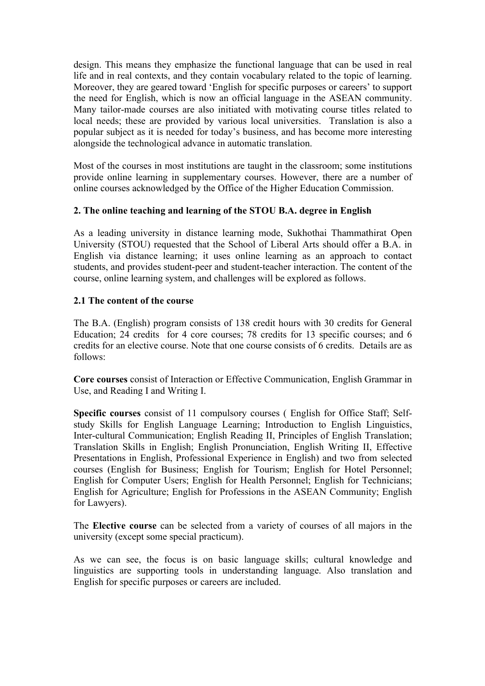design. This means they emphasize the functional language that can be used in real life and in real contexts, and they contain vocabulary related to the topic of learning. Moreover, they are geared toward 'English for specific purposes or careers' to support the need for English, which is now an official language in the ASEAN community. Many tailor-made courses are also initiated with motivating course titles related to local needs; these are provided by various local universities. Translation is also a popular subject as it is needed for today's business, and has become more interesting alongside the technological advance in automatic translation.

Most of the courses in most institutions are taught in the classroom; some institutions provide online learning in supplementary courses. However, there are a number of online courses acknowledged by the Office of the Higher Education Commission.

#### **2. The online teaching and learning of the STOU B.A. degree in English**

As a leading university in distance learning mode, Sukhothai Thammathirat Open University (STOU) requested that the School of Liberal Arts should offer a B.A. in English via distance learning; it uses online learning as an approach to contact students, and provides student-peer and student-teacher interaction. The content of the course, online learning system, and challenges will be explored as follows.

#### **2.1 The content of the course**

The B.A. (English) program consists of 138 credit hours with 30 credits for General Education; 24 credits for 4 core courses; 78 credits for 13 specific courses; and 6 credits for an elective course. Note that one course consists of 6 credits. Details are as follows:

**Core courses** consist of Interaction or Effective Communication, English Grammar in Use, and Reading I and Writing I.

**Specific courses** consist of 11 compulsory courses ( English for Office Staff; Selfstudy Skills for English Language Learning; Introduction to English Linguistics, Inter-cultural Communication; English Reading II, Principles of English Translation; Translation Skills in English; English Pronunciation, English Writing II, Effective Presentations in English, Professional Experience in English) and two from selected courses (English for Business; English for Tourism; English for Hotel Personnel; English for Computer Users; English for Health Personnel; English for Technicians; English for Agriculture; English for Professions in the ASEAN Community; English for Lawyers).

The **Elective course** can be selected from a variety of courses of all majors in the university (except some special practicum).

As we can see, the focus is on basic language skills; cultural knowledge and linguistics are supporting tools in understanding language. Also translation and English for specific purposes or careers are included.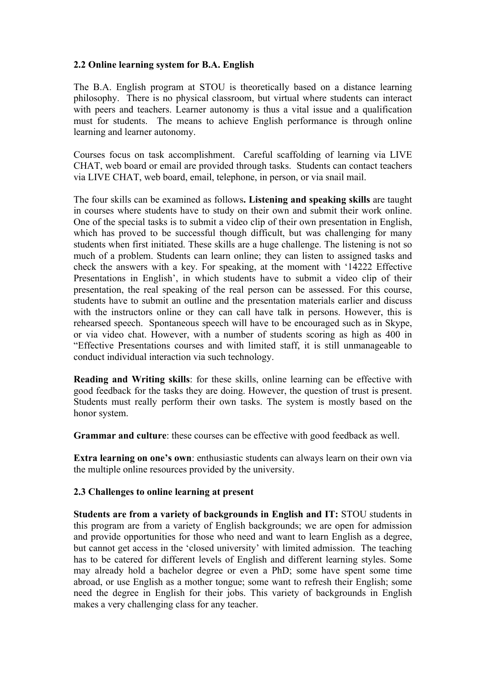# **2.2 Online learning system for B.A. English**

The B.A. English program at STOU is theoretically based on a distance learning philosophy. There is no physical classroom, but virtual where students can interact with peers and teachers. Learner autonomy is thus a vital issue and a qualification must for students. The means to achieve English performance is through online learning and learner autonomy.

Courses focus on task accomplishment. Careful scaffolding of learning via LIVE CHAT, web board or email are provided through tasks. Students can contact teachers via LIVE CHAT, web board, email, telephone, in person, or via snail mail.

The four skills can be examined as follows**. Listening and speaking skills** are taught in courses where students have to study on their own and submit their work online. One of the special tasks is to submit a video clip of their own presentation in English, which has proved to be successful though difficult, but was challenging for many students when first initiated. These skills are a huge challenge. The listening is not so much of a problem. Students can learn online; they can listen to assigned tasks and check the answers with a key. For speaking, at the moment with '14222 Effective Presentations in English', in which students have to submit a video clip of their presentation, the real speaking of the real person can be assessed. For this course, students have to submit an outline and the presentation materials earlier and discuss with the instructors online or they can call have talk in persons. However, this is rehearsed speech. Spontaneous speech will have to be encouraged such as in Skype, or via video chat. However, with a number of students scoring as high as 400 in "Effective Presentations courses and with limited staff, it is still unmanageable to conduct individual interaction via such technology.

**Reading and Writing skills**: for these skills, online learning can be effective with good feedback for the tasks they are doing. However, the question of trust is present. Students must really perform their own tasks. The system is mostly based on the honor system.

**Grammar and culture**: these courses can be effective with good feedback as well.

**Extra learning on one's own**: enthusiastic students can always learn on their own via the multiple online resources provided by the university.

# **2.3 Challenges to online learning at present**

**Students are from a variety of backgrounds in English and IT:** STOU students in this program are from a variety of English backgrounds; we are open for admission and provide opportunities for those who need and want to learn English as a degree, but cannot get access in the 'closed university' with limited admission. The teaching has to be catered for different levels of English and different learning styles. Some may already hold a bachelor degree or even a PhD; some have spent some time abroad, or use English as a mother tongue; some want to refresh their English; some need the degree in English for their jobs. This variety of backgrounds in English makes a very challenging class for any teacher.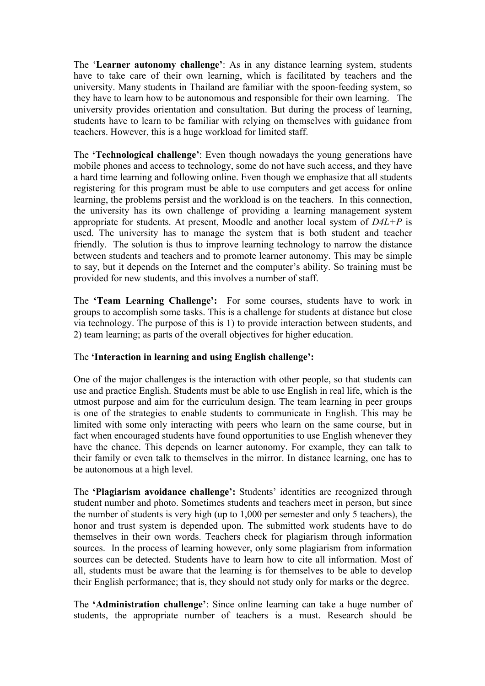The '**Learner autonomy challenge'**: As in any distance learning system, students have to take care of their own learning, which is facilitated by teachers and the university. Many students in Thailand are familiar with the spoon-feeding system, so they have to learn how to be autonomous and responsible for their own learning. The university provides orientation and consultation. But during the process of learning, students have to learn to be familiar with relying on themselves with guidance from teachers. However, this is a huge workload for limited staff.

The **'Technological challenge'**: Even though nowadays the young generations have mobile phones and access to technology, some do not have such access, and they have a hard time learning and following online. Even though we emphasize that all students registering for this program must be able to use computers and get access for online learning, the problems persist and the workload is on the teachers. In this connection, the university has its own challenge of providing a learning management system appropriate for students. At present, Moodle and another local system of *D4L+P* is used. The university has to manage the system that is both student and teacher friendly. The solution is thus to improve learning technology to narrow the distance between students and teachers and to promote learner autonomy. This may be simple to say, but it depends on the Internet and the computer's ability. So training must be provided for new students, and this involves a number of staff.

The **'Team Learning Challenge':** For some courses, students have to work in groups to accomplish some tasks. This is a challenge for students at distance but close via technology. The purpose of this is 1) to provide interaction between students, and 2) team learning; as parts of the overall objectives for higher education.

# The **'Interaction in learning and using English challenge':**

One of the major challenges is the interaction with other people, so that students can use and practice English. Students must be able to use English in real life, which is the utmost purpose and aim for the curriculum design. The team learning in peer groups is one of the strategies to enable students to communicate in English. This may be limited with some only interacting with peers who learn on the same course, but in fact when encouraged students have found opportunities to use English whenever they have the chance. This depends on learner autonomy. For example, they can talk to their family or even talk to themselves in the mirror. In distance learning, one has to be autonomous at a high level.

The **'Plagiarism avoidance challenge':** Students' identities are recognized through student number and photo. Sometimes students and teachers meet in person, but since the number of students is very high (up to 1,000 per semester and only 5 teachers), the honor and trust system is depended upon. The submitted work students have to do themselves in their own words. Teachers check for plagiarism through information sources. In the process of learning however, only some plagiarism from information sources can be detected. Students have to learn how to cite all information. Most of all, students must be aware that the learning is for themselves to be able to develop their English performance; that is, they should not study only for marks or the degree.

The **'Administration challenge'**: Since online learning can take a huge number of students, the appropriate number of teachers is a must. Research should be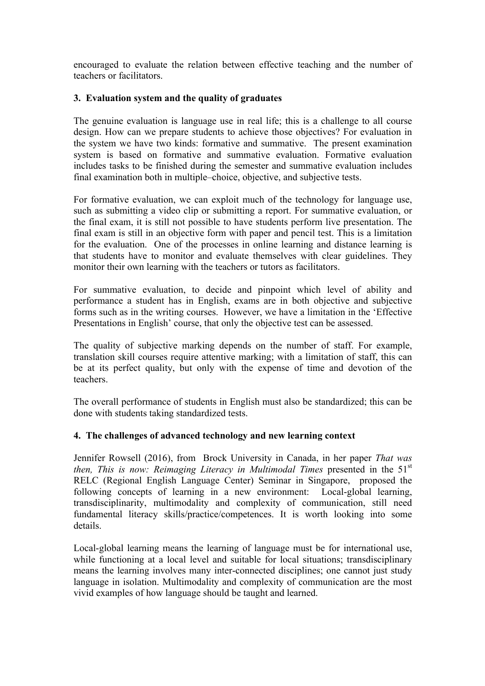encouraged to evaluate the relation between effective teaching and the number of teachers or facilitators.

# **3. Evaluation system and the quality of graduates**

The genuine evaluation is language use in real life; this is a challenge to all course design. How can we prepare students to achieve those objectives? For evaluation in the system we have two kinds: formative and summative. The present examination system is based on formative and summative evaluation. Formative evaluation includes tasks to be finished during the semester and summative evaluation includes final examination both in multiple–choice, objective, and subjective tests.

For formative evaluation, we can exploit much of the technology for language use, such as submitting a video clip or submitting a report. For summative evaluation, or the final exam, it is still not possible to have students perform live presentation. The final exam is still in an objective form with paper and pencil test. This is a limitation for the evaluation. One of the processes in online learning and distance learning is that students have to monitor and evaluate themselves with clear guidelines. They monitor their own learning with the teachers or tutors as facilitators.

For summative evaluation, to decide and pinpoint which level of ability and performance a student has in English, exams are in both objective and subjective forms such as in the writing courses. However, we have a limitation in the 'Effective Presentations in English' course, that only the objective test can be assessed.

The quality of subjective marking depends on the number of staff. For example, translation skill courses require attentive marking; with a limitation of staff, this can be at its perfect quality, but only with the expense of time and devotion of the teachers.

The overall performance of students in English must also be standardized; this can be done with students taking standardized tests.

# **4. The challenges of advanced technology and new learning context**

Jennifer Rowsell (2016), from Brock University in Canada, in her paper *That was then, This is now: Reimaging Literacy in Multimodal Times* presented in the 51<sup>st</sup> RELC (Regional English Language Center) Seminar in Singapore, proposed the following concepts of learning in a new environment: Local-global learning, transdisciplinarity, multimodality and complexity of communication, still need fundamental literacy skills/practice/competences. It is worth looking into some details.

Local-global learning means the learning of language must be for international use, while functioning at a local level and suitable for local situations; transdisciplinary means the learning involves many inter-connected disciplines; one cannot just study language in isolation. Multimodality and complexity of communication are the most vivid examples of how language should be taught and learned.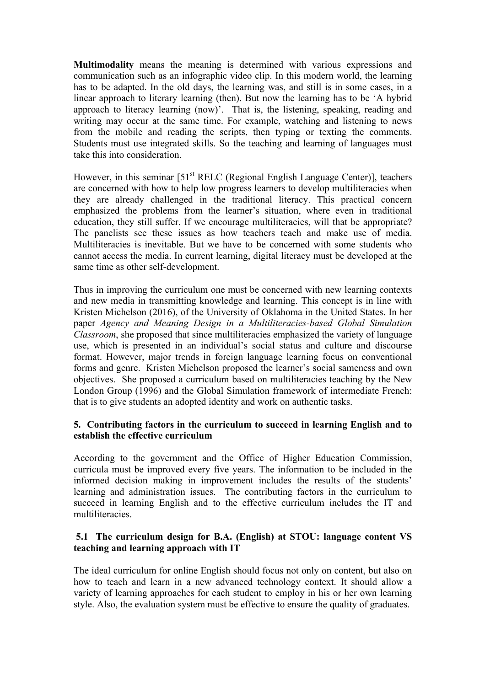**Multimodality** means the meaning is determined with various expressions and communication such as an infographic video clip. In this modern world, the learning has to be adapted. In the old days, the learning was, and still is in some cases, in a linear approach to literary learning (then). But now the learning has to be 'A hybrid approach to literacy learning (now)'. That is, the listening, speaking, reading and writing may occur at the same time. For example, watching and listening to news from the mobile and reading the scripts, then typing or texting the comments. Students must use integrated skills. So the teaching and learning of languages must take this into consideration.

However, in this seminar  $[51<sup>st</sup> RELC$  (Regional English Language Center)], teachers are concerned with how to help low progress learners to develop multiliteracies when they are already challenged in the traditional literacy. This practical concern emphasized the problems from the learner's situation, where even in traditional education, they still suffer. If we encourage multiliteracies, will that be appropriate? The panelists see these issues as how teachers teach and make use of media. Multiliteracies is inevitable. But we have to be concerned with some students who cannot access the media. In current learning, digital literacy must be developed at the same time as other self-development.

Thus in improving the curriculum one must be concerned with new learning contexts and new media in transmitting knowledge and learning. This concept is in line with Kristen Michelson (2016), of the University of Oklahoma in the United States. In her paper *Agency and Meaning Design in a Multiliteracies-based Global Simulation Classroom*, she proposed that since multiliteracies emphasized the variety of language use, which is presented in an individual's social status and culture and discourse format. However, major trends in foreign language learning focus on conventional forms and genre. Kristen Michelson proposed the learner's social sameness and own objectives. She proposed a curriculum based on multiliteracies teaching by the New London Group (1996) and the Global Simulation framework of intermediate French: that is to give students an adopted identity and work on authentic tasks.

# **5. Contributing factors in the curriculum to succeed in learning English and to establish the effective curriculum**

According to the government and the Office of Higher Education Commission, curricula must be improved every five years. The information to be included in the informed decision making in improvement includes the results of the students' learning and administration issues. The contributing factors in the curriculum to succeed in learning English and to the effective curriculum includes the IT and multiliteracies.

# **5.1 The curriculum design for B.A. (English) at STOU: language content VS teaching and learning approach with IT**

The ideal curriculum for online English should focus not only on content, but also on how to teach and learn in a new advanced technology context. It should allow a variety of learning approaches for each student to employ in his or her own learning style. Also, the evaluation system must be effective to ensure the quality of graduates.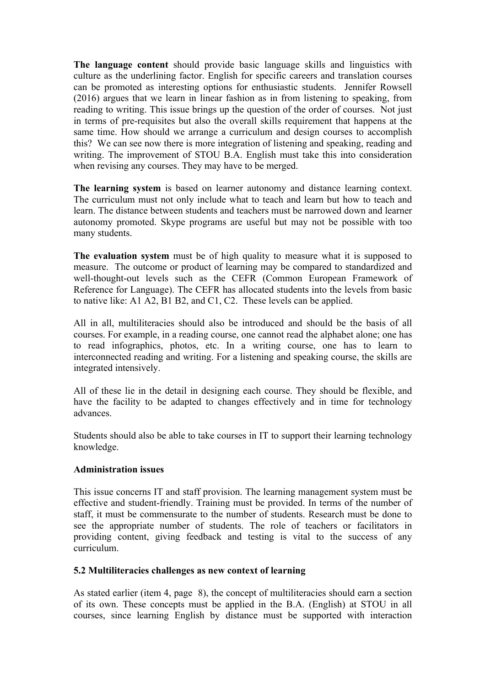**The language content** should provide basic language skills and linguistics with culture as the underlining factor. English for specific careers and translation courses can be promoted as interesting options for enthusiastic students. Jennifer Rowsell (2016) argues that we learn in linear fashion as in from listening to speaking, from reading to writing. This issue brings up the question of the order of courses. Not just in terms of pre-requisites but also the overall skills requirement that happens at the same time. How should we arrange a curriculum and design courses to accomplish this? We can see now there is more integration of listening and speaking, reading and writing. The improvement of STOU B.A. English must take this into consideration when revising any courses. They may have to be merged.

**The learning system** is based on learner autonomy and distance learning context. The curriculum must not only include what to teach and learn but how to teach and learn. The distance between students and teachers must be narrowed down and learner autonomy promoted. Skype programs are useful but may not be possible with too many students.

**The evaluation system** must be of high quality to measure what it is supposed to measure. The outcome or product of learning may be compared to standardized and well-thought-out levels such as the CEFR (Common European Framework of Reference for Language). The CEFR has allocated students into the levels from basic to native like: A1 A2, B1 B2, and C1, C2. These levels can be applied.

All in all, multiliteracies should also be introduced and should be the basis of all courses. For example, in a reading course, one cannot read the alphabet alone; one has to read infographics, photos, etc. In a writing course, one has to learn to interconnected reading and writing. For a listening and speaking course, the skills are integrated intensively.

All of these lie in the detail in designing each course. They should be flexible, and have the facility to be adapted to changes effectively and in time for technology advances.

Students should also be able to take courses in IT to support their learning technology knowledge.

#### **Administration issues**

This issue concerns IT and staff provision. The learning management system must be effective and student-friendly. Training must be provided. In terms of the number of staff, it must be commensurate to the number of students. Research must be done to see the appropriate number of students. The role of teachers or facilitators in providing content, giving feedback and testing is vital to the success of any curriculum.

#### **5.2 Multiliteracies challenges as new context of learning**

As stated earlier (item 4, page 8), the concept of multiliteracies should earn a section of its own. These concepts must be applied in the B.A. (English) at STOU in all courses, since learning English by distance must be supported with interaction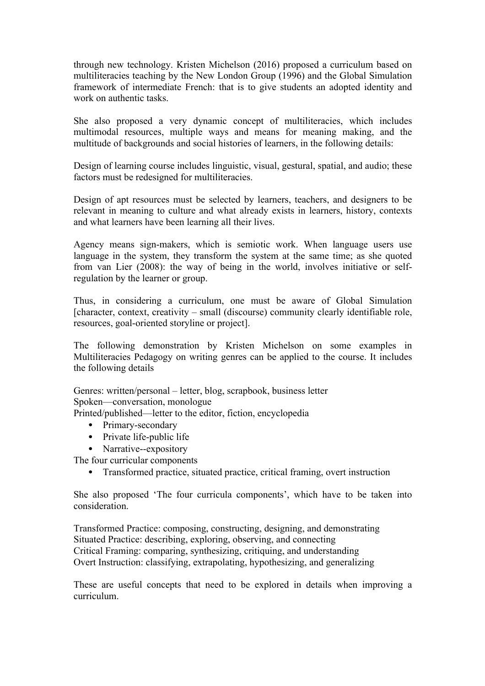through new technology. Kristen Michelson (2016) proposed a curriculum based on multiliteracies teaching by the New London Group (1996) and the Global Simulation framework of intermediate French: that is to give students an adopted identity and work on authentic tasks.

She also proposed a very dynamic concept of multiliteracies, which includes multimodal resources, multiple ways and means for meaning making, and the multitude of backgrounds and social histories of learners, in the following details:

Design of learning course includes linguistic, visual, gestural, spatial, and audio; these factors must be redesigned for multiliteracies.

Design of apt resources must be selected by learners, teachers, and designers to be relevant in meaning to culture and what already exists in learners, history, contexts and what learners have been learning all their lives.

Agency means sign-makers, which is semiotic work. When language users use language in the system, they transform the system at the same time; as she quoted from van Lier (2008): the way of being in the world, involves initiative or selfregulation by the learner or group.

Thus, in considering a curriculum, one must be aware of Global Simulation [character, context, creativity – small (discourse) community clearly identifiable role, resources, goal-oriented storyline or project].

The following demonstration by Kristen Michelson on some examples in Multiliteracies Pedagogy on writing genres can be applied to the course. It includes the following details

Genres: written/personal – letter, blog, scrapbook, business letter Spoken—conversation, monologue

Printed/published—letter to the editor, fiction, encyclopedia

- Primary-secondary
- Private life-public life
- Narrative--expository

The four curricular components

• Transformed practice, situated practice, critical framing, overt instruction

She also proposed 'The four curricula components', which have to be taken into consideration.

Transformed Practice: composing, constructing, designing, and demonstrating Situated Practice: describing, exploring, observing, and connecting Critical Framing: comparing, synthesizing, critiquing, and understanding Overt Instruction: classifying, extrapolating, hypothesizing, and generalizing

These are useful concepts that need to be explored in details when improving a curriculum.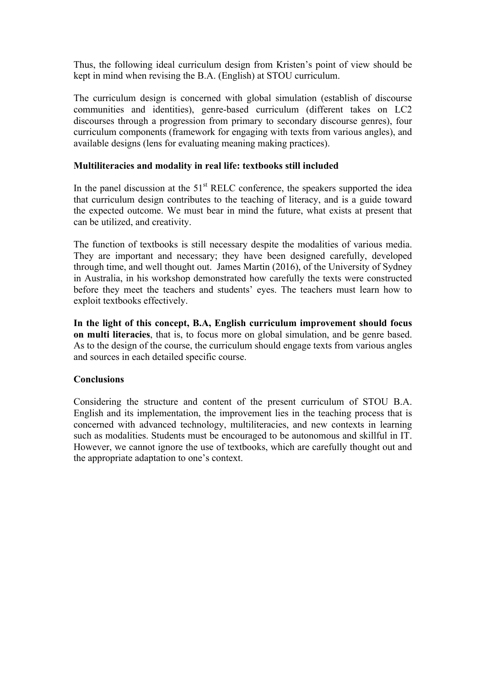Thus, the following ideal curriculum design from Kristen's point of view should be kept in mind when revising the B.A. (English) at STOU curriculum.

The curriculum design is concerned with global simulation (establish of discourse communities and identities), genre-based curriculum (different takes on LC2 discourses through a progression from primary to secondary discourse genres), four curriculum components (framework for engaging with texts from various angles), and available designs (lens for evaluating meaning making practices).

#### **Multiliteracies and modality in real life: textbooks still included**

In the panel discussion at the  $51<sup>st</sup>$  RELC conference, the speakers supported the idea that curriculum design contributes to the teaching of literacy, and is a guide toward the expected outcome. We must bear in mind the future, what exists at present that can be utilized, and creativity.

The function of textbooks is still necessary despite the modalities of various media. They are important and necessary; they have been designed carefully, developed through time, and well thought out. James Martin (2016), of the University of Sydney in Australia, in his workshop demonstrated how carefully the texts were constructed before they meet the teachers and students' eyes. The teachers must learn how to exploit textbooks effectively.

**In the light of this concept, B.A, English curriculum improvement should focus on multi literacies**, that is, to focus more on global simulation, and be genre based. As to the design of the course, the curriculum should engage texts from various angles and sources in each detailed specific course.

# **Conclusions**

Considering the structure and content of the present curriculum of STOU B.A. English and its implementation, the improvement lies in the teaching process that is concerned with advanced technology, multiliteracies, and new contexts in learning such as modalities. Students must be encouraged to be autonomous and skillful in IT. However, we cannot ignore the use of textbooks, which are carefully thought out and the appropriate adaptation to one's context.